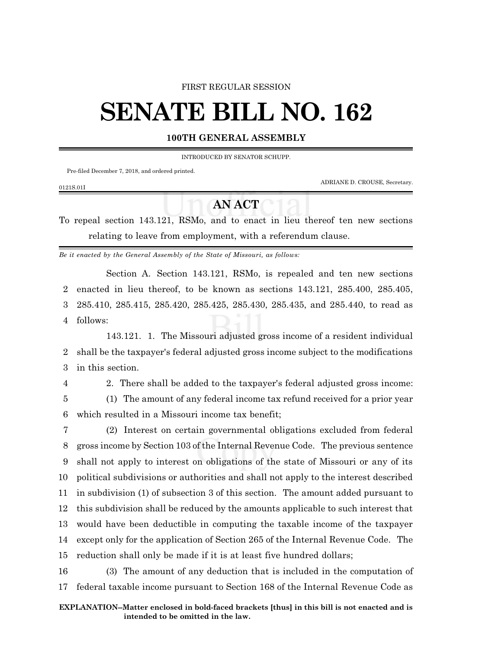#### FIRST REGULAR SESSION

# **SENATE BILL NO. 162**

## **100TH GENERAL ASSEMBLY**

INTRODUCED BY SENATOR SCHUPP.

Pre-filed December 7, 2018, and ordered printed.

ADRIANE D. CROUSE, Secretary.

### 0121S.01I

# **AN ACT**

To repeal section 143.121, RSMo, and to enact in lieu thereof ten new sections relating to leave from employment, with a referendum clause.

*Be it enacted by the General Assembly of the State of Missouri, as follows:*

Section A. Section 143.121, RSMo, is repealed and ten new sections 2 enacted in lieu thereof, to be known as sections 143.121, 285.400, 285.405, 3 285.410, 285.415, 285.420, 285.425, 285.430, 285.435, and 285.440, to read as 4 follows:

143.121. 1. The Missouri adjusted gross income of a resident individual 2 shall be the taxpayer's federal adjusted gross income subject to the modifications 3 in this section.

4 2. There shall be added to the taxpayer's federal adjusted gross income:

5 (1) The amount of any federal income tax refund received for a prior year 6 which resulted in a Missouri income tax benefit;

 (2) Interest on certain governmental obligations excluded from federal gross income by Section 103 of the Internal Revenue Code. The previous sentence shall not apply to interest on obligations of the state of Missouri or any of its political subdivisions or authorities and shall not apply to the interest described in subdivision (1) of subsection 3 of this section. The amount added pursuant to this subdivision shall be reduced by the amounts applicable to such interest that would have been deductible in computing the taxable income of the taxpayer except only for the application of Section 265 of the Internal Revenue Code. The reduction shall only be made if it is at least five hundred dollars;

16 (3) The amount of any deduction that is included in the computation of 17 federal taxable income pursuant to Section 168 of the Internal Revenue Code as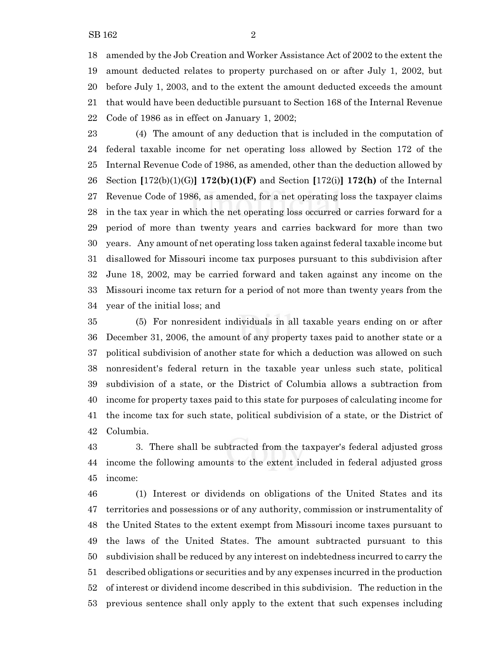amended by the Job Creation and Worker Assistance Act of 2002 to the extent the amount deducted relates to property purchased on or after July 1, 2002, but before July 1, 2003, and to the extent the amount deducted exceeds the amount that would have been deductible pursuant to Section 168 of the Internal Revenue Code of 1986 as in effect on January 1, 2002;

 (4) The amount of any deduction that is included in the computation of federal taxable income for net operating loss allowed by Section 172 of the Internal Revenue Code of 1986, as amended, other than the deduction allowed by Section **[**172(b)(1)(G)**] 172(b)(1)(F)** and Section **[**172(i)**] 172(h)** of the Internal Revenue Code of 1986, as amended, for a net operating loss the taxpayer claims in the tax year in which the net operating loss occurred or carries forward for a period of more than twenty years and carries backward for more than two years. Any amount of net operating loss taken against federal taxable income but disallowed for Missouri income tax purposes pursuant to this subdivision after June 18, 2002, may be carried forward and taken against any income on the Missouri income tax return for a period of not more than twenty years from the year of the initial loss; and

 (5) For nonresident individuals in all taxable years ending on or after December 31, 2006, the amount of any property taxes paid to another state or a political subdivision of another state for which a deduction was allowed on such nonresident's federal return in the taxable year unless such state, political subdivision of a state, or the District of Columbia allows a subtraction from income for property taxes paid to this state for purposes of calculating income for the income tax for such state, political subdivision of a state, or the District of Columbia.

 3. There shall be subtracted from the taxpayer's federal adjusted gross income the following amounts to the extent included in federal adjusted gross income:

 (1) Interest or dividends on obligations of the United States and its territories and possessions or of any authority, commission or instrumentality of the United States to the extent exempt from Missouri income taxes pursuant to the laws of the United States. The amount subtracted pursuant to this subdivision shall be reduced by any interest on indebtedness incurred to carry the described obligations or securities and by any expenses incurred in the production of interest or dividend income described in this subdivision. The reduction in the previous sentence shall only apply to the extent that such expenses including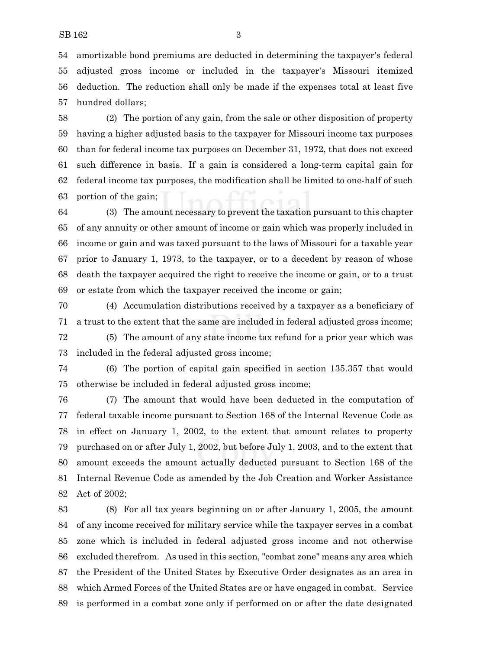amortizable bond premiums are deducted in determining the taxpayer's federal adjusted gross income or included in the taxpayer's Missouri itemized deduction. The reduction shall only be made if the expenses total at least five hundred dollars;

 (2) The portion of any gain, from the sale or other disposition of property having a higher adjusted basis to the taxpayer for Missouri income tax purposes than for federal income tax purposes on December 31, 1972, that does not exceed such difference in basis. If a gain is considered a long-term capital gain for federal income tax purposes, the modification shall be limited to one-half of such portion of the gain;

 (3) The amount necessary to prevent the taxation pursuant to this chapter of any annuity or other amount of income or gain which was properly included in income or gain and was taxed pursuant to the laws of Missouri for a taxable year prior to January 1, 1973, to the taxpayer, or to a decedent by reason of whose death the taxpayer acquired the right to receive the income or gain, or to a trust or estate from which the taxpayer received the income or gain;

 (4) Accumulation distributions received by a taxpayer as a beneficiary of a trust to the extent that the same are included in federal adjusted gross income;

 (5) The amount of any state income tax refund for a prior year which was included in the federal adjusted gross income;

 (6) The portion of capital gain specified in section 135.357 that would otherwise be included in federal adjusted gross income;

 (7) The amount that would have been deducted in the computation of federal taxable income pursuant to Section 168 of the Internal Revenue Code as in effect on January 1, 2002, to the extent that amount relates to property purchased on or after July 1, 2002, but before July 1, 2003, and to the extent that amount exceeds the amount actually deducted pursuant to Section 168 of the Internal Revenue Code as amended by the Job Creation and Worker Assistance Act of 2002;

 (8) For all tax years beginning on or after January 1, 2005, the amount of any income received for military service while the taxpayer serves in a combat zone which is included in federal adjusted gross income and not otherwise excluded therefrom. As used in this section, "combat zone" means any area which the President of the United States by Executive Order designates as an area in which Armed Forces of the United States are or have engaged in combat. Service is performed in a combat zone only if performed on or after the date designated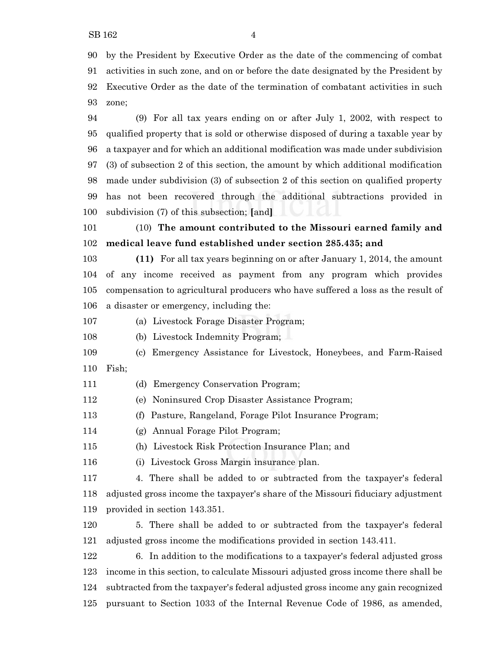zone;

 (9) For all tax years ending on or after July 1, 2002, with respect to qualified property that is sold or otherwise disposed of during a taxable year by a taxpayer and for which an additional modification was made under subdivision (3) of subsection 2 of this section, the amount by which additional modification made under subdivision (3) of subsection 2 of this section on qualified property has not been recovered through the additional subtractions provided in subdivision (7) of this subsection; **[**and**]**

 (10) **The amount contributed to the Missouri earned family and medical leave fund established under section 285.435; and**

 **(11)** For all tax years beginning on or after January 1, 2014, the amount of any income received as payment from any program which provides compensation to agricultural producers who have suffered a loss as the result of a disaster or emergency, including the:

(a) Livestock Forage Disaster Program;

(b) Livestock Indemnity Program;

- (c) Emergency Assistance for Livestock, Honeybees, and Farm-Raised Fish;
- (d) Emergency Conservation Program;
- (e) Noninsured Crop Disaster Assistance Program;
- (f) Pasture, Rangeland, Forage Pilot Insurance Program;
- (g) Annual Forage Pilot Program;
- (h) Livestock Risk Protection Insurance Plan; and
- (i) Livestock Gross Margin insurance plan.

 4. There shall be added to or subtracted from the taxpayer's federal adjusted gross income the taxpayer's share of the Missouri fiduciary adjustment provided in section 143.351.

 5. There shall be added to or subtracted from the taxpayer's federal adjusted gross income the modifications provided in section 143.411.

 6. In addition to the modifications to a taxpayer's federal adjusted gross income in this section, to calculate Missouri adjusted gross income there shall be subtracted from the taxpayer's federal adjusted gross income any gain recognized pursuant to Section 1033 of the Internal Revenue Code of 1986, as amended,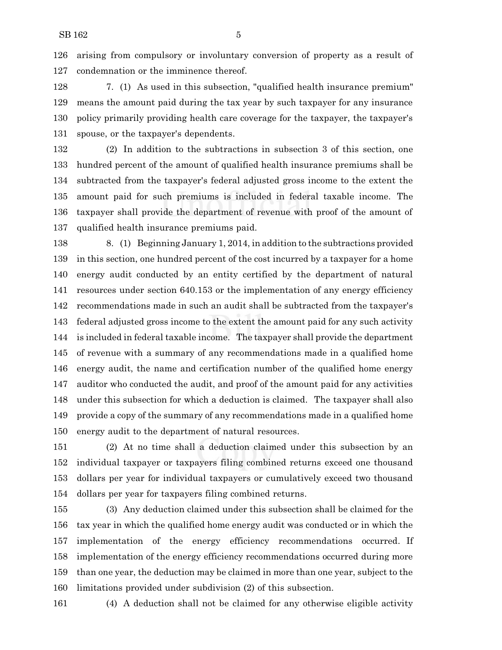arising from compulsory or involuntary conversion of property as a result of condemnation or the imminence thereof.

 7. (1) As used in this subsection, "qualified health insurance premium" means the amount paid during the tax year by such taxpayer for any insurance policy primarily providing health care coverage for the taxpayer, the taxpayer's spouse, or the taxpayer's dependents.

 (2) In addition to the subtractions in subsection 3 of this section, one hundred percent of the amount of qualified health insurance premiums shall be subtracted from the taxpayer's federal adjusted gross income to the extent the amount paid for such premiums is included in federal taxable income. The taxpayer shall provide the department of revenue with proof of the amount of qualified health insurance premiums paid.

 8. (1) Beginning January 1, 2014, in addition to the subtractions provided in this section, one hundred percent of the cost incurred by a taxpayer for a home energy audit conducted by an entity certified by the department of natural resources under section 640.153 or the implementation of any energy efficiency recommendations made in such an audit shall be subtracted from the taxpayer's federal adjusted gross income to the extent the amount paid for any such activity is included in federal taxable income. The taxpayer shall provide the department of revenue with a summary of any recommendations made in a qualified home energy audit, the name and certification number of the qualified home energy auditor who conducted the audit, and proof of the amount paid for any activities under this subsection for which a deduction is claimed. The taxpayer shall also provide a copy of the summary of any recommendations made in a qualified home energy audit to the department of natural resources.

 (2) At no time shall a deduction claimed under this subsection by an individual taxpayer or taxpayers filing combined returns exceed one thousand dollars per year for individual taxpayers or cumulatively exceed two thousand dollars per year for taxpayers filing combined returns.

 (3) Any deduction claimed under this subsection shall be claimed for the tax year in which the qualified home energy audit was conducted or in which the implementation of the energy efficiency recommendations occurred. If implementation of the energy efficiency recommendations occurred during more than one year, the deduction may be claimed in more than one year, subject to the limitations provided under subdivision (2) of this subsection.

(4) A deduction shall not be claimed for any otherwise eligible activity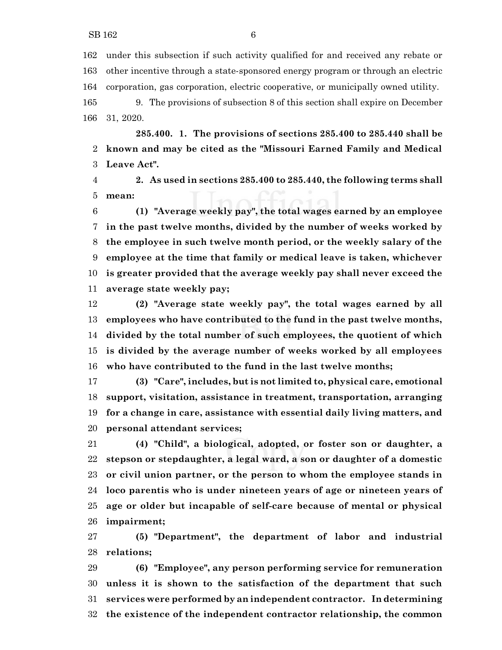under this subsection if such activity qualified for and received any rebate or other incentive through a state-sponsored energy program or through an electric corporation, gas corporation, electric cooperative, or municipally owned utility.

 9. The provisions of subsection 8 of this section shall expire on December 31, 2020.

**285.400. 1. The provisions of sections 285.400 to 285.440 shall be known and may be cited as the "Missouri Earned Family and Medical Leave Act".**

 **2. As used in sections 285.400 to 285.440, the following terms shall mean:**

 **(1) "Average weekly pay", the total wages earned by an employee in the past twelve months, divided by the number of weeks worked by the employee in such twelve month period, or the weekly salary of the employee at the time that family or medical leave is taken, whichever is greater provided that the average weekly pay shall never exceed the average state weekly pay;**

 **(2) "Average state weekly pay", the total wages earned by all employees who have contributed to the fund in the past twelve months, divided by the total number of such employees, the quotient of which is divided by the average number of weeks worked by all employees who have contributed to the fund in the last twelve months;**

 **(3) "Care", includes, but is not limited to, physical care, emotional support, visitation, assistance in treatment, transportation, arranging for a change in care, assistance with essential daily living matters, and personal attendant services;**

 **(4) "Child", a biological, adopted, or foster son or daughter, a stepson or stepdaughter, a legal ward, a son or daughter of a domestic or civil union partner, or the person to whom the employee stands in loco parentis who is under nineteen years of age or nineteen years of age or older but incapable of self-care because of mental or physical impairment;**

 **(5) "Department", the department of labor and industrial relations;**

 **(6) "Employee", any person performing service for remuneration unless it is shown to the satisfaction of the department that such services were performed by an independent contractor. In determining the existence of the independent contractor relationship, the common**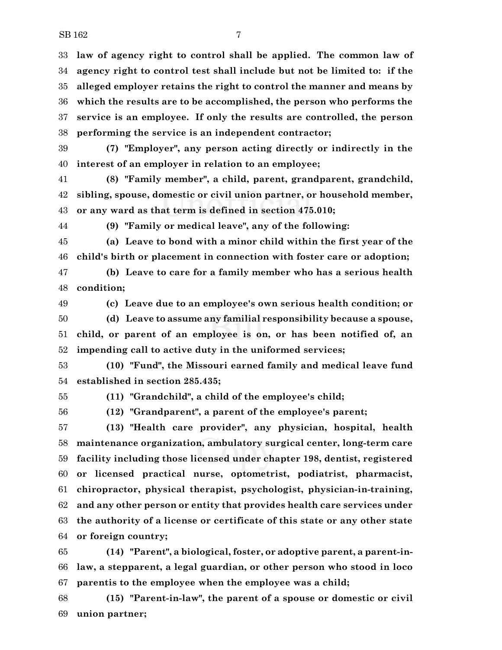**law of agency right to control shall be applied. The common law of agency right to control test shall include but not be limited to: if the alleged employer retains the right to control the manner and means by which the results are to be accomplished, the person who performs the service is an employee. If only the results are controlled, the person performing the service is an independent contractor;**

 **(7) "Employer", any person acting directly or indirectly in the interest of an employer in relation to an employee;**

 **(8) "Family member", a child, parent, grandparent, grandchild, sibling, spouse, domestic or civil union partner, or household member, or any ward as that term is defined in section 475.010;**

**(9) "Family or medical leave", any of the following:**

 **(a) Leave to bond with a minor child within the first year of the child's birth or placement in connection with foster care or adoption;**

 **(b) Leave to care for a family member who has a serious health condition;**

 **(c) Leave due to an employee's own serious health condition; or (d) Leave to assume any familial responsibility because a spouse, child, or parent of an employee is on, or has been notified of, an impending call to active duty in the uniformed services;**

 **(10) "Fund", the Missouri earned family and medical leave fund established in section 285.435;**

**(11) "Grandchild", a child of the employee's child;**

**(12) "Grandparent", a parent of the employee's parent;**

 **(13) "Health care provider", any physician, hospital, health maintenance organization, ambulatory surgical center, long-term care facility including those licensed under chapter 198, dentist, registered or licensed practical nurse, optometrist, podiatrist, pharmacist, chiropractor, physical therapist, psychologist, physician-in-training, and any other person or entity that provides health care services under the authority of a license or certificate of this state or any other state or foreign country;**

 **(14) "Parent", a biological, foster, or adoptive parent, a parent-in- law, a stepparent, a legal guardian, or other person who stood in loco parentis to the employee when the employee was a child;**

 **(15) "Parent-in-law", the parent of a spouse or domestic or civil union partner;**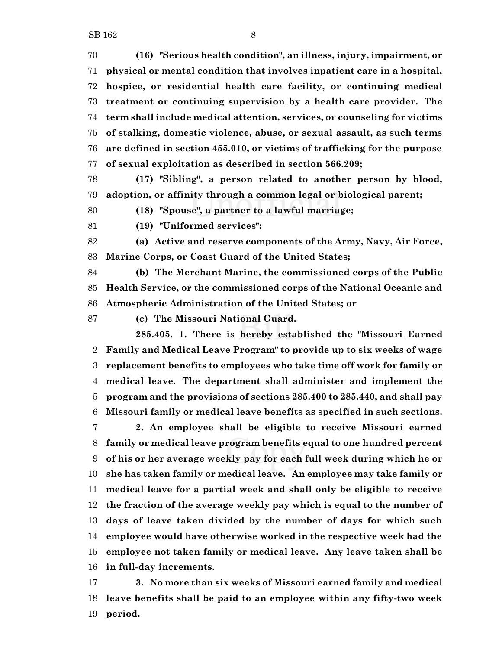**(16) "Serious health condition", an illness, injury, impairment, or physical or mental condition that involves inpatient care in a hospital, hospice, or residential health care facility, or continuing medical treatment or continuing supervision by a health care provider. The term shall include medical attention, services, or counseling for victims of stalking, domestic violence, abuse, or sexual assault, as such terms are defined in section 455.010, or victims of trafficking for the purpose of sexual exploitation as described in section 566.209;**

 **(17) "Sibling", a person related to another person by blood, adoption, or affinity through a common legal or biological parent;**

**(18) "Spouse", a partner to a lawful marriage;**

**(19) "Uniformed services":**

 **(a) Active and reserve components of the Army, Navy, Air Force, Marine Corps, or Coast Guard of the United States;**

 **(b) The Merchant Marine, the commissioned corps of the Public Health Service, or the commissioned corps of the National Oceanic and Atmospheric Administration of the United States; or**

**(c) The Missouri National Guard.**

**285.405. 1. There is hereby established the "Missouri Earned Family and Medical Leave Program" to provide up to six weeks of wage replacement benefits to employees who take time off work for family or medical leave. The department shall administer and implement the program and the provisions of sections 285.400 to 285.440, and shall pay Missouri family or medical leave benefits as specified in such sections.**

 **2. An employee shall be eligible to receive Missouri earned family or medical leave program benefits equal to one hundred percent of his or her average weekly pay for each full week during which he or she has taken family or medical leave. An employee may take family or medical leave for a partial week and shall only be eligible to receive the fraction of the average weekly pay which is equal to the number of days of leave taken divided by the number of days for which such employee would have otherwise worked in the respective week had the employee not taken family or medical leave. Any leave taken shall be in full-day increments.**

 **3. No more than six weeks of Missouri earned family and medical leave benefits shall be paid to an employee within any fifty-two week period.**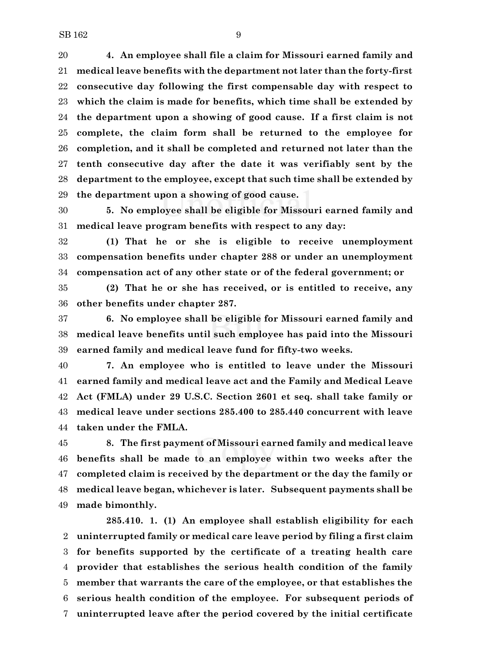**4. An employee shall file a claim for Missouri earned family and medical leave benefits with the department not later than the forty-first consecutive day following the first compensable day with respect to which the claim is made for benefits, which time shall be extended by the department upon a showing of good cause. If a first claim is not complete, the claim form shall be returned to the employee for completion, and it shall be completed and returned not later than the tenth consecutive day after the date it was verifiably sent by the department to the employee, except that such time shall be extended by the department upon a showing of good cause.**

 **5. No employee shall be eligible for Missouri earned family and medical leave program benefits with respect to any day:**

 **(1) That he or she is eligible to receive unemployment compensation benefits under chapter 288 or under an unemployment compensation act of any other state or of the federal government; or**

 **(2) That he or she has received, or is entitled to receive, any other benefits under chapter 287.**

 **6. No employee shall be eligible for Missouri earned family and medical leave benefits until such employee has paid into the Missouri earned family and medical leave fund for fifty-two weeks.**

 **7. An employee who is entitled to leave under the Missouri earned family and medical leave act and the Family and Medical Leave Act (FMLA) under 29 U.S.C. Section 2601 et seq. shall take family or medical leave under sections 285.400 to 285.440 concurrent with leave taken under the FMLA.**

 **8. The first payment of Missouri earned family and medical leave benefits shall be made to an employee within two weeks after the completed claim is received by the department or the day the family or medical leave began, whichever is later. Subsequent payments shall be made bimonthly.**

**285.410. 1. (1) An employee shall establish eligibility for each uninterrupted family or medical care leave period by filing a first claim for benefits supported by the certificate of a treating health care provider that establishes the serious health condition of the family member that warrants the care of the employee, or that establishes the serious health condition of the employee. For subsequent periods of uninterrupted leave after the period covered by the initial certificate**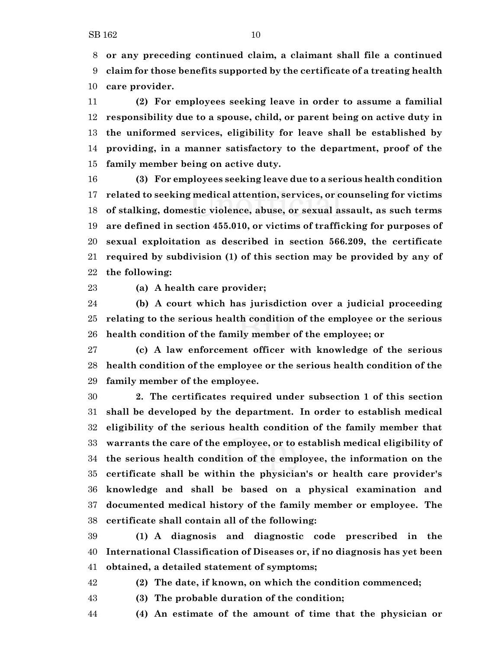**or any preceding continued claim, a claimant shall file a continued claim for those benefits supported by the certificate of a treating health care provider.**

 **(2) For employees seeking leave in order to assume a familial responsibility due to a spouse, child, or parent being on active duty in the uniformed services, eligibility for leave shall be established by providing, in a manner satisfactory to the department, proof of the family member being on active duty.**

 **(3) For employees seeking leave due to a serious health condition related to seeking medical attention, services, or counseling for victims of stalking, domestic violence, abuse, or sexual assault, as such terms are defined in section 455.010, or victims of trafficking for purposes of sexual exploitation as described in section 566.209, the certificate required by subdivision (1) of this section may be provided by any of the following:**

**(a) A health care provider;**

 **(b) A court which has jurisdiction over a judicial proceeding relating to the serious health condition of the employee or the serious health condition of the family member of the employee; or**

 **(c) A law enforcement officer with knowledge of the serious health condition of the employee or the serious health condition of the family member of the employee.**

 **2. The certificates required under subsection 1 of this section shall be developed by the department. In order to establish medical eligibility of the serious health condition of the family member that warrants the care of the employee, or to establish medical eligibility of the serious health condition of the employee, the information on the certificate shall be within the physician's or health care provider's knowledge and shall be based on a physical examination and documented medical history of the family member or employee. The certificate shall contain all of the following:**

 **(1) A diagnosis and diagnostic code prescribed in the International Classification of Diseases or, if no diagnosis has yet been obtained, a detailed statement of symptoms;**

**(2) The date, if known, on which the condition commenced;**

**(3) The probable duration of the condition;**

**(4) An estimate of the amount of time that the physician or**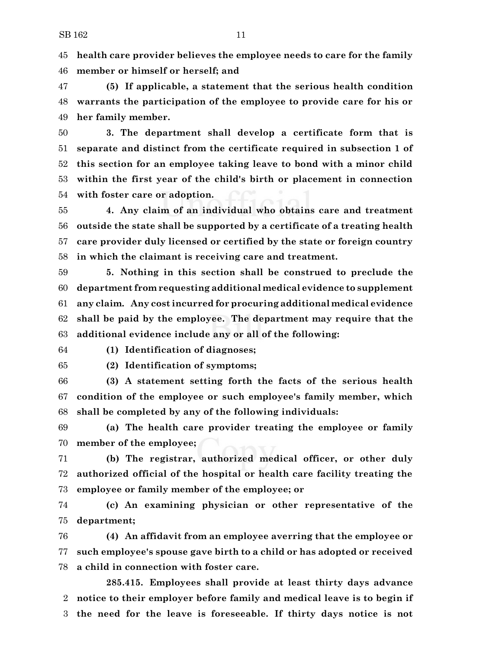**health care provider believes the employee needs to care for the family member or himself or herself; and**

 **(5) If applicable, a statement that the serious health condition warrants the participation of the employee to provide care for his or her family member.**

 **3. The department shall develop a certificate form that is separate and distinct from the certificate required in subsection 1 of this section for an employee taking leave to bond with a minor child within the first year of the child's birth or placement in connection with foster care or adoption.**

 **4. Any claim of an individual who obtains care and treatment outside the state shall be supported by a certificate of a treating health care provider duly licensed or certified by the state or foreign country in which the claimant is receiving care and treatment.**

 **5. Nothing in this section shall be construed to preclude the department from requesting additional medical evidence to supplement any claim. Any cost incurred for procuring additional medical evidence shall be paid by the employee. The department may require that the additional evidence include any or all of the following:**

**(1) Identification of diagnoses;**

**(2) Identification of symptoms;**

 **(3) A statement setting forth the facts of the serious health condition of the employee or such employee's family member, which shall be completed by any of the following individuals:**

 **(a) The health care provider treating the employee or family member of the employee;**

 **(b) The registrar, authorized medical officer, or other duly authorized official of the hospital or health care facility treating the employee or family member of the employee; or**

 **(c) An examining physician or other representative of the department;**

 **(4) An affidavit from an employee averring that the employee or such employee's spouse gave birth to a child or has adopted or received a child in connection with foster care.**

**285.415. Employees shall provide at least thirty days advance notice to their employer before family and medical leave is to begin if the need for the leave is foreseeable. If thirty days notice is not**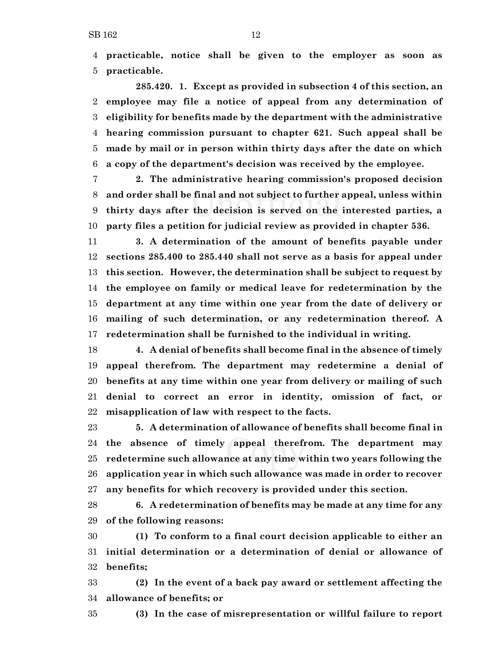**practicable, notice shall be given to the employer as soon as practicable.**

**285.420. 1. Except as provided in subsection 4 of this section, an employee may file a notice of appeal from any determination of eligibility for benefits made by the department with the administrative hearing commission pursuant to chapter 621. Such appeal shall be made by mail or in person within thirty days after the date on which a copy of the department's decision was received by the employee.**

 **2. The administrative hearing commission's proposed decision and order shall be final and not subject to further appeal, unless within thirty days after the decision is served on the interested parties, a party files a petition for judicial review as provided in chapter 536.**

 **3. A determination of the amount of benefits payable under sections 285.400 to 285.440 shall not serve as a basis for appeal under this section. However, the determination shall be subject to request by the employee on family or medical leave for redetermination by the department at any time within one year from the date of delivery or mailing of such determination, or any redetermination thereof. A redetermination shall be furnished to the individual in writing.**

 **4. A denial of benefits shall become final in the absence of timely appeal therefrom. The department may redetermine a denial of benefits at any time within one year from delivery or mailing of such denial to correct an error in identity, omission of fact, or misapplication of law with respect to the facts.**

 **5. A determination of allowance of benefits shall become final in the absence of timely appeal therefrom. The department may redetermine such allowance at any time within two years following the application year in which such allowance was made in order to recover any benefits for which recovery is provided under this section.**

 **6. A redetermination of benefits may be made at any time for any of the following reasons:**

 **(1) To conform to a final court decision applicable to either an initial determination or a determination of denial or allowance of benefits;**

 **(2) In the event of a back pay award or settlement affecting the allowance of benefits; or**

**(3) In the case of misrepresentation or willful failure to report**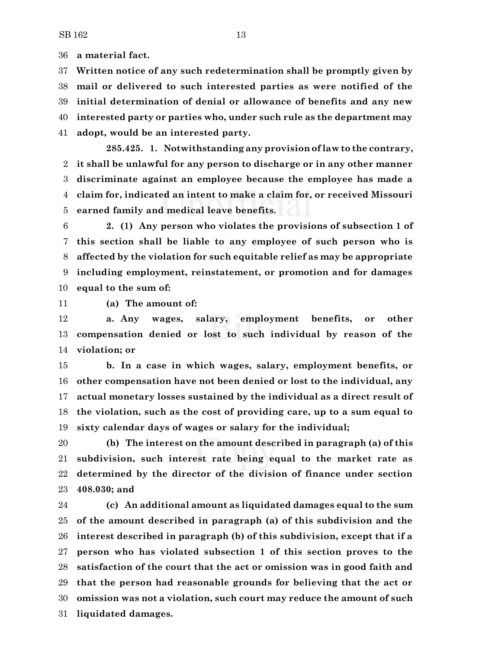**a material fact.**

 **Written notice of any such redetermination shall be promptly given by mail or delivered to such interested parties as were notified of the initial determination of denial or allowance of benefits and any new interested party or parties who, under such rule as the department may adopt, would be an interested party.**

**285.425. 1. Notwithstanding any provision oflaw to the contrary, it shall be unlawful for any person to discharge or in any other manner discriminate against an employee because the employee has made a claim for, indicated an intent to make a claim for, or received Missouri earned family and medical leave benefits.**

 **2. (1) Any person who violates the provisions of subsection 1 of this section shall be liable to any employee of such person who is affected by the violation for such equitable relief as may be appropriate including employment, reinstatement, or promotion and for damages equal to the sum of:**

**(a) The amount of:**

 **a. Any wages, salary, employment benefits, or other compensation denied or lost to such individual by reason of the violation; or**

 **b. In a case in which wages, salary, employment benefits, or other compensation have not been denied or lost to the individual, any actual monetary losses sustained by the individual as a direct result of the violation, such as the cost of providing care, up to a sum equal to sixty calendar days of wages or salary for the individual;**

 **(b) The interest on the amount described in paragraph (a) of this subdivision, such interest rate being equal to the market rate as determined by the director of the division of finance under section 408.030; and**

 **(c) An additional amount as liquidated damages equal to the sum of the amount described in paragraph (a) of this subdivision and the interest described in paragraph (b) of this subdivision, except that if a person who has violated subsection 1 of this section proves to the satisfaction of the court that the act or omission was in good faith and that the person had reasonable grounds for believing that the act or omission was not a violation, such court may reduce the amount of such liquidated damages.**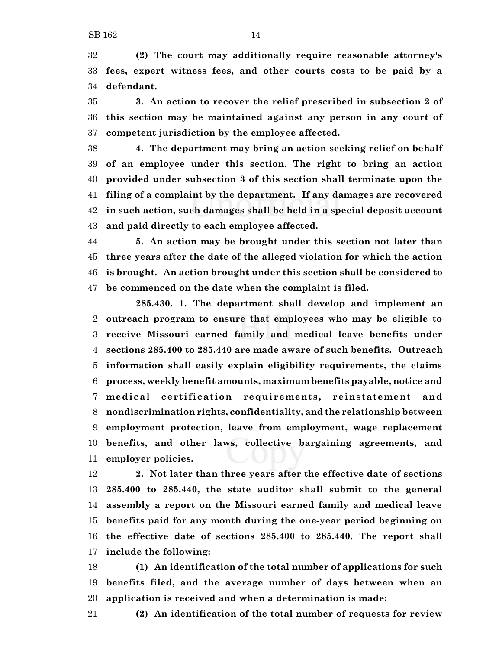**(2) The court may additionally require reasonable attorney's fees, expert witness fees, and other courts costs to be paid by a defendant.**

 **3. An action to recover the relief prescribed in subsection 2 of this section may be maintained against any person in any court of competent jurisdiction by the employee affected.**

 **4. The department may bring an action seeking relief on behalf of an employee under this section. The right to bring an action provided under subsection 3 of this section shall terminate upon the filing of a complaint by the department. If any damages are recovered in such action, such damages shall be held in a special deposit account and paid directly to each employee affected.**

 **5. An action may be brought under this section not later than three years after the date of the alleged violation for which the action is brought. An action brought under this section shall be considered to be commenced on the date when the complaint is filed.**

**285.430. 1. The department shall develop and implement an outreach program to ensure that employees who may be eligible to receive Missouri earned family and medical leave benefits under sections 285.400 to 285.440 are made aware of such benefits. Outreach information shall easily explain eligibility requirements, the claims process, weekly benefit amounts, maximum benefits payable, notice and medical cert ificat ion requirements, reinstatement and nondiscrimination rights, confidentiality, and the relationship between employment protection, leave from employment, wage replacement benefits, and other laws, collective bargaining agreements, and employer policies.**

 **2. Not later than three years after the effective date of sections 285.400 to 285.440, the state auditor shall submit to the general assembly a report on the Missouri earned family and medical leave benefits paid for any month during the one-year period beginning on the effective date of sections 285.400 to 285.440. The report shall include the following:**

 **(1) An identification of the total number of applications for such benefits filed, and the average number of days between when an application is received and when a determination is made;**

**(2) An identification of the total number of requests for review**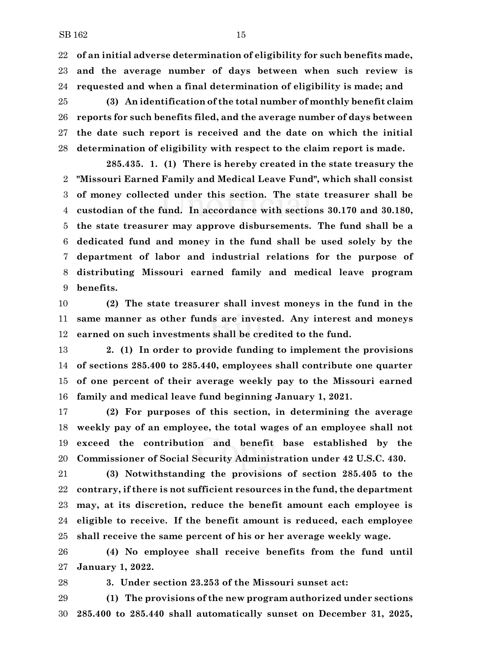**of an initial adverse determination of eligibility for such benefits made, and the average number of days between when such review is requested and when a final determination of eligibility is made; and**

 **(3) An identification of the total number of monthly benefit claim reports for such benefits filed, and the average number of days between the date such report is received and the date on which the initial determination of eligibility with respect to the claim report is made.**

**285.435. 1. (1) There is hereby created in the state treasury the "Missouri Earned Family and Medical Leave Fund", which shall consist of money collected under this section. The state treasurer shall be custodian of the fund. In accordance with sections 30.170 and 30.180, the state treasurer may approve disbursements. The fund shall be a dedicated fund and money in the fund shall be used solely by the department of labor and industrial relations for the purpose of distributing Missouri earned family and medical leave program benefits.**

 **(2) The state treasurer shall invest moneys in the fund in the same manner as other funds are invested. Any interest and moneys earned on such investments shall be credited to the fund.**

 **2. (1) In order to provide funding to implement the provisions of sections 285.400 to 285.440, employees shall contribute one quarter of one percent of their average weekly pay to the Missouri earned family and medical leave fund beginning January 1, 2021.**

 **(2) For purposes of this section, in determining the average weekly pay of an employee, the total wages of an employee shall not exceed the contribution and benefit base established by the Commissioner of Social Security Administration under 42 U.S.C. 430.**

 **(3) Notwithstanding the provisions of section 285.405 to the contrary, if there is not sufficient resources in the fund, the department may, at its discretion, reduce the benefit amount each employee is eligible to receive. If the benefit amount is reduced, each employee shall receive the same percent of his or her average weekly wage.**

 **(4) No employee shall receive benefits from the fund until January 1, 2022.**

**3. Under section 23.253 of the Missouri sunset act:**

 **(1) The provisions of the new program authorized under sections 285.400 to 285.440 shall automatically sunset on December 31, 2025,**